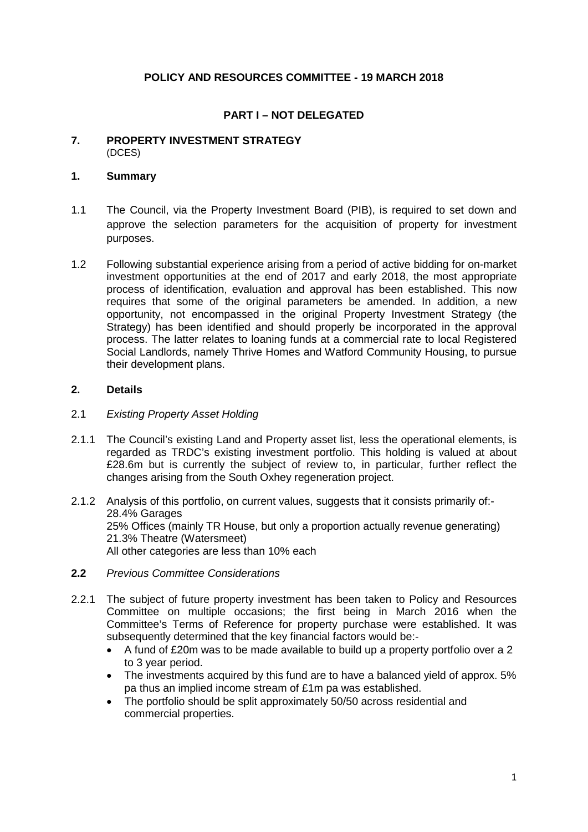# **POLICY AND RESOURCES COMMITTEE - 19 MARCH 2018**

# **PART I – NOT DELEGATED**

#### **7. PROPERTY INVESTMENT STRATEGY** (DCES)

## **1. Summary**

- 1.1 The Council, via the Property Investment Board (PIB), is required to set down and approve the selection parameters for the acquisition of property for investment purposes.
- 1.2 Following substantial experience arising from a period of active bidding for on-market investment opportunities at the end of 2017 and early 2018, the most appropriate process of identification, evaluation and approval has been established. This now requires that some of the original parameters be amended. In addition, a new opportunity, not encompassed in the original Property Investment Strategy (the Strategy) has been identified and should properly be incorporated in the approval process. The latter relates to loaning funds at a commercial rate to local Registered Social Landlords, namely Thrive Homes and Watford Community Housing, to pursue their development plans.

## **2. Details**

#### 2.1 *Existing Property Asset Holding*

- 2.1.1 The Council's existing Land and Property asset list, less the operational elements, is regarded as TRDC's existing investment portfolio. This holding is valued at about £28.6m but is currently the subject of review to, in particular, further reflect the changes arising from the South Oxhey regeneration project.
- 2.1.2 Analysis of this portfolio, on current values, suggests that it consists primarily of:- 28.4% Garages 25% Offices (mainly TR House, but only a proportion actually revenue generating) 21.3% Theatre (Watersmeet) All other categories are less than 10% each
- **2.2** *Previous Committee Considerations*
- 2.2.1 The subject of future property investment has been taken to Policy and Resources Committee on multiple occasions; the first being in March 2016 when the Committee's Terms of Reference for property purchase were established. It was subsequently determined that the key financial factors would be:-
	- A fund of £20m was to be made available to build up a property portfolio over a 2 to 3 year period.
	- The investments acquired by this fund are to have a balanced yield of approx. 5% pa thus an implied income stream of £1m pa was established.
	- The portfolio should be split approximately 50/50 across residential and commercial properties.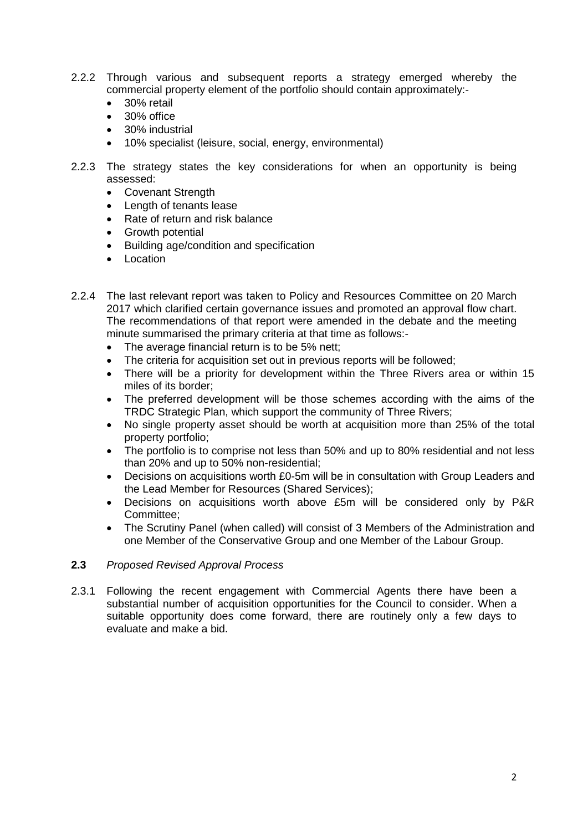- 2.2.2 Through various and subsequent reports a strategy emerged whereby the commercial property element of the portfolio should contain approximately:-
	- 30% retail
	- 30% office
	- 30% industrial
	- 10% specialist (leisure, social, energy, environmental)
- 2.2.3 The strategy states the key considerations for when an opportunity is being assessed:
	- Covenant Strength
	- Length of tenants lease
	- Rate of return and risk balance
	- Growth potential
	- Building age/condition and specification
	- Location
- 2.2.4 The last relevant report was taken to Policy and Resources Committee on 20 March 2017 which clarified certain governance issues and promoted an approval flow chart. The recommendations of that report were amended in the debate and the meeting minute summarised the primary criteria at that time as follows:-
	- The average financial return is to be 5% nett:
	- The criteria for acquisition set out in previous reports will be followed:
	- There will be a priority for development within the Three Rivers area or within 15 miles of its border;
	- The preferred development will be those schemes according with the aims of the TRDC Strategic Plan, which support the community of Three Rivers;
	- No single property asset should be worth at acquisition more than 25% of the total property portfolio;
	- The portfolio is to comprise not less than 50% and up to 80% residential and not less than 20% and up to 50% non-residential;
	- Decisions on acquisitions worth £0-5m will be in consultation with Group Leaders and the Lead Member for Resources (Shared Services);
	- Decisions on acquisitions worth above £5m will be considered only by P&R Committee;
	- The Scrutiny Panel (when called) will consist of 3 Members of the Administration and one Member of the Conservative Group and one Member of the Labour Group.

#### **2.3** *Proposed Revised Approval Process*

2.3.1 Following the recent engagement with Commercial Agents there have been a substantial number of acquisition opportunities for the Council to consider. When a suitable opportunity does come forward, there are routinely only a few days to evaluate and make a bid.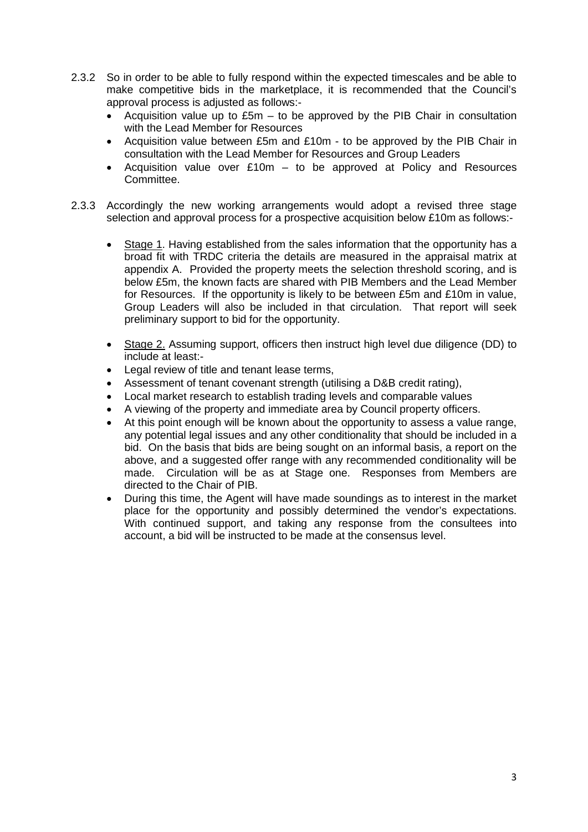- 2.3.2 So in order to be able to fully respond within the expected timescales and be able to make competitive bids in the marketplace, it is recommended that the Council's approval process is adjusted as follows:-
	- Acquisition value up to £5m to be approved by the PIB Chair in consultation with the Lead Member for Resources
	- Acquisition value between £5m and £10m to be approved by the PIB Chair in consultation with the Lead Member for Resources and Group Leaders
	- Acquisition value over £10m to be approved at Policy and Resources Committee.
- 2.3.3 Accordingly the new working arrangements would adopt a revised three stage selection and approval process for a prospective acquisition below £10m as follows:-
	- Stage 1. Having established from the sales information that the opportunity has a broad fit with TRDC criteria the details are measured in the appraisal matrix at appendix A. Provided the property meets the selection threshold scoring, and is below £5m, the known facts are shared with PIB Members and the Lead Member for Resources. If the opportunity is likely to be between £5m and £10m in value, Group Leaders will also be included in that circulation. That report will seek preliminary support to bid for the opportunity.
	- Stage 2. Assuming support, officers then instruct high level due diligence (DD) to include at least:-
	- Legal review of title and tenant lease terms,
	- Assessment of tenant covenant strength (utilising a D&B credit rating),
	- Local market research to establish trading levels and comparable values
	- A viewing of the property and immediate area by Council property officers.
	- At this point enough will be known about the opportunity to assess a value range, any potential legal issues and any other conditionality that should be included in a bid. On the basis that bids are being sought on an informal basis, a report on the above, and a suggested offer range with any recommended conditionality will be made. Circulation will be as at Stage one. Responses from Members are directed to the Chair of PIB.
	- During this time, the Agent will have made soundings as to interest in the market place for the opportunity and possibly determined the vendor's expectations. With continued support, and taking any response from the consultees into account, a bid will be instructed to be made at the consensus level.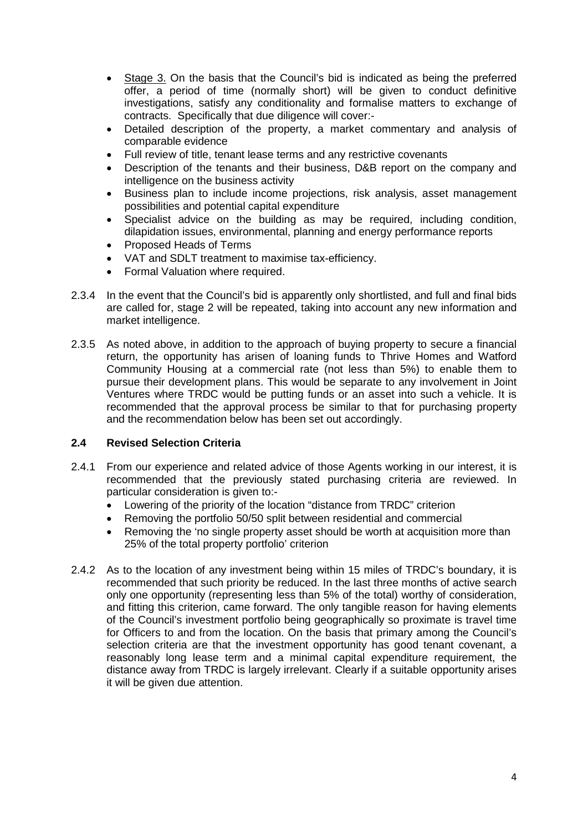- Stage 3. On the basis that the Council's bid is indicated as being the preferred offer, a period of time (normally short) will be given to conduct definitive investigations, satisfy any conditionality and formalise matters to exchange of contracts. Specifically that due diligence will cover:-
- Detailed description of the property, a market commentary and analysis of comparable evidence
- Full review of title, tenant lease terms and any restrictive covenants
- Description of the tenants and their business, D&B report on the company and intelligence on the business activity
- Business plan to include income projections, risk analysis, asset management possibilities and potential capital expenditure
- Specialist advice on the building as may be required, including condition, dilapidation issues, environmental, planning and energy performance reports
- Proposed Heads of Terms
- VAT and SDLT treatment to maximise tax-efficiency.
- Formal Valuation where required.
- 2.3.4 In the event that the Council's bid is apparently only shortlisted, and full and final bids are called for, stage 2 will be repeated, taking into account any new information and market intelligence.
- 2.3.5 As noted above, in addition to the approach of buying property to secure a financial return, the opportunity has arisen of loaning funds to Thrive Homes and Watford Community Housing at a commercial rate (not less than 5%) to enable them to pursue their development plans. This would be separate to any involvement in Joint Ventures where TRDC would be putting funds or an asset into such a vehicle. It is recommended that the approval process be similar to that for purchasing property and the recommendation below has been set out accordingly.

## **2.4 Revised Selection Criteria**

- 2.4.1 From our experience and related advice of those Agents working in our interest, it is recommended that the previously stated purchasing criteria are reviewed. In particular consideration is given to:-
	- Lowering of the priority of the location "distance from TRDC" criterion
	- Removing the portfolio 50/50 split between residential and commercial
	- Removing the 'no single property asset should be worth at acquisition more than 25% of the total property portfolio' criterion
- 2.4.2 As to the location of any investment being within 15 miles of TRDC's boundary, it is recommended that such priority be reduced. In the last three months of active search only one opportunity (representing less than 5% of the total) worthy of consideration, and fitting this criterion, came forward. The only tangible reason for having elements of the Council's investment portfolio being geographically so proximate is travel time for Officers to and from the location. On the basis that primary among the Council's selection criteria are that the investment opportunity has good tenant covenant, a reasonably long lease term and a minimal capital expenditure requirement, the distance away from TRDC is largely irrelevant. Clearly if a suitable opportunity arises it will be given due attention.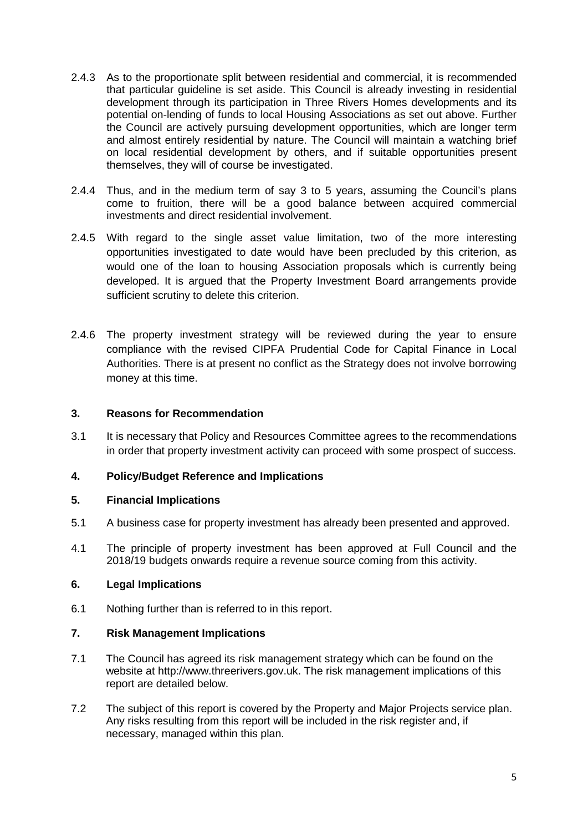- 2.4.3 As to the proportionate split between residential and commercial, it is recommended that particular guideline is set aside. This Council is already investing in residential development through its participation in Three Rivers Homes developments and its potential on-lending of funds to local Housing Associations as set out above. Further the Council are actively pursuing development opportunities, which are longer term and almost entirely residential by nature. The Council will maintain a watching brief on local residential development by others, and if suitable opportunities present themselves, they will of course be investigated.
- 2.4.4 Thus, and in the medium term of say 3 to 5 years, assuming the Council's plans come to fruition, there will be a good balance between acquired commercial investments and direct residential involvement.
- 2.4.5 With regard to the single asset value limitation, two of the more interesting opportunities investigated to date would have been precluded by this criterion, as would one of the loan to housing Association proposals which is currently being developed. It is argued that the Property Investment Board arrangements provide sufficient scrutiny to delete this criterion.
- 2.4.6 The property investment strategy will be reviewed during the year to ensure compliance with the revised CIPFA Prudential Code for Capital Finance in Local Authorities. There is at present no conflict as the Strategy does not involve borrowing money at this time.

## **3. Reasons for Recommendation**

3.1 It is necessary that Policy and Resources Committee agrees to the recommendations in order that property investment activity can proceed with some prospect of success.

## **4. Policy/Budget Reference and Implications**

## **5. Financial Implications**

- 5.1 A business case for property investment has already been presented and approved.
- 4.1 The principle of property investment has been approved at Full Council and the 2018/19 budgets onwards require a revenue source coming from this activity.

## **6. Legal Implications**

6.1 Nothing further than is referred to in this report.

## **7. Risk Management Implications**

- 7.1 The Council has agreed its risk management strategy which can be found on the website at http://www.threerivers.gov.uk. The risk management implications of this report are detailed below.
- 7.2 The subject of this report is covered by the Property and Major Projects service plan. Any risks resulting from this report will be included in the risk register and, if necessary, managed within this plan.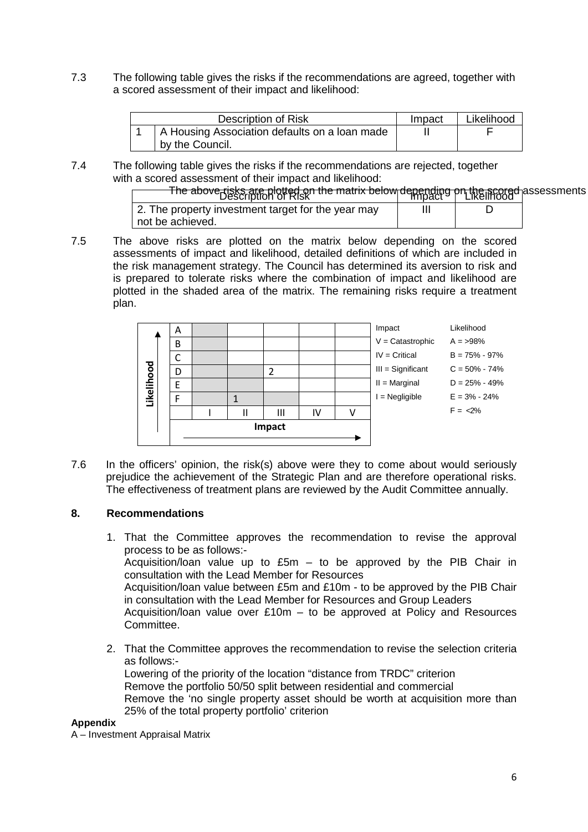7.3 The following table gives the risks if the recommendations are agreed, together with a scored assessment of their impact and likelihood:

| Description of Risk                           | Impact | Likelihood |
|-----------------------------------------------|--------|------------|
| A Housing Association defaults on a loan made |        |            |
| by the Council.                               |        |            |

7.4 The following table gives the risks if the recommendations are rejected, together with a scored assessment of their impact and likelihood:

| The above risks are plotted on the matrix below depending on the scored assessments |  |  |
|-------------------------------------------------------------------------------------|--|--|
| 2. The property investment target for the year may                                  |  |  |
| not be achieved.                                                                    |  |  |

7.5 The above risks are plotted on the matrix below depending on the scored assessments of impact and likelihood, detailed definitions of which are included in the risk management strategy. The Council has determined its aversion to risk and is prepared to tolerate risks where the combination of impact and likelihood are plotted in the shaded area of the matrix. The remaining risks require a treatment plan.

|            | A      |  |  |   |    |  | Impact              | Likelihood        |
|------------|--------|--|--|---|----|--|---------------------|-------------------|
|            | B      |  |  |   |    |  | $V =$ Catastrophic  | $A = 98\%$        |
|            | r      |  |  |   |    |  | $IV = Critical$     | $B = 75\% - 97\%$ |
|            | D      |  |  | 2 |    |  | $III =$ Significant | $C = 50\% - 74\%$ |
| Likelihood |        |  |  |   |    |  | $II = Marginal$     | $D = 25\% - 49\%$ |
|            |        |  |  |   |    |  | $=$ Negligible      | $E = 3\% - 24\%$  |
|            |        |  |  | Ш | IV |  |                     | $F = 2\%$         |
|            | Impact |  |  |   |    |  |                     |                   |
|            |        |  |  |   |    |  |                     |                   |

7.6 In the officers' opinion, the risk(s) above were they to come about would seriously prejudice the achievement of the Strategic Plan and are therefore operational risks. The effectiveness of treatment plans are reviewed by the Audit Committee annually.

## **8. Recommendations**

- 1. That the Committee approves the recommendation to revise the approval process to be as follows:- Acquisition/loan value up to  $£5m -$  to be approved by the PIB Chair in consultation with the Lead Member for Resources Acquisition/loan value between £5m and £10m - to be approved by the PIB Chair in consultation with the Lead Member for Resources and Group Leaders Acquisition/loan value over £10m – to be approved at Policy and Resources Committee.
- 2. That the Committee approves the recommendation to revise the selection criteria as follows:- Lowering of the priority of the location "distance from TRDC" criterion Remove the portfolio 50/50 split between residential and commercial Remove the 'no single property asset should be worth at acquisition more than 25% of the total property portfolio' criterion

#### **Appendix**

A – Investment Appraisal Matrix